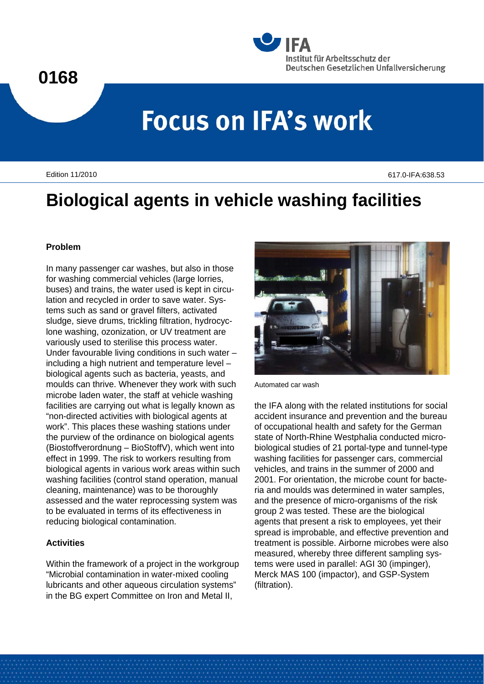### **0168**



# **Focus on IFA's work**

Edition 11/2010 617.0-IFA:638.53

## **Biological agents in vehicle washing facilities**

#### **Problem**

In many passenger car washes, but also in those for washing commercial vehicles (large lorries, buses) and trains, the water used is kept in circulation and recycled in order to save water. Systems such as sand or gravel filters, activated sludge, sieve drums, trickling filtration, hydrocyclone washing, ozonization, or UV treatment are variously used to sterilise this process water. Under favourable living conditions in such water – including a high nutrient and temperature level – biological agents such as bacteria, yeasts, and moulds can thrive. Whenever they work with such microbe laden water, the staff at vehicle washing facilities are carrying out what is legally known as "non-directed activities with biological agents at work". This places these washing stations under the purview of the ordinance on biological agents (Biostoffverordnung – BioStoffV), which went into effect in 1999. The risk to workers resulting from biological agents in various work areas within such washing facilities (control stand operation, manual cleaning, maintenance) was to be thoroughly assessed and the water reprocessing system was to be evaluated in terms of its effectiveness in reducing biological contamination.

#### **Activities**

Within the framework of a project in the workgroup "Microbial contamination in water-mixed cooling lubricants and other aqueous circulation systems" in the BG expert Committee on Iron and Metal II,



Automated car wash

the IFA along with the related institutions for social accident insurance and prevention and the bureau of occupational health and safety for the German state of North-Rhine Westphalia conducted microbiological studies of 21 portal-type and tunnel-type washing facilities for passenger cars, commercial vehicles, and trains in the summer of 2000 and 2001. For orientation, the microbe count for bacteria and moulds was determined in water samples, and the presence of micro-organisms of the risk group 2 was tested. These are the biological agents that present a risk to employees, yet their spread is improbable, and effective prevention and treatment is possible. Airborne microbes were also measured, whereby three different sampling systems were used in parallel: AGI 30 (impinger), Merck MAS 100 (impactor), and GSP-System (filtration).